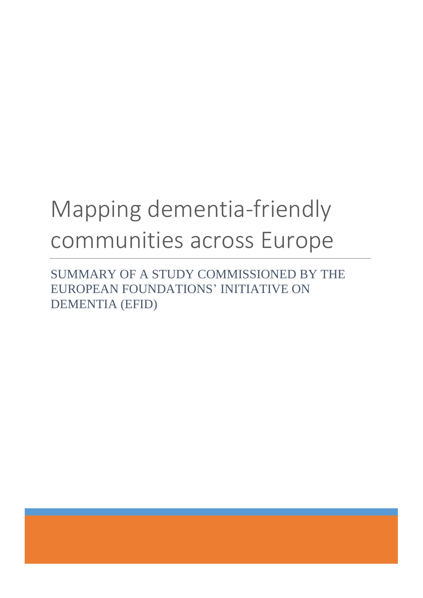# Mapping dementia-friendly communities across Europe

SUMMARY OF A STUDY COMMISSIONED BY THE EUROPEAN FOUNDATIONS' INITIATIVE ON DEMENTIA (EFID)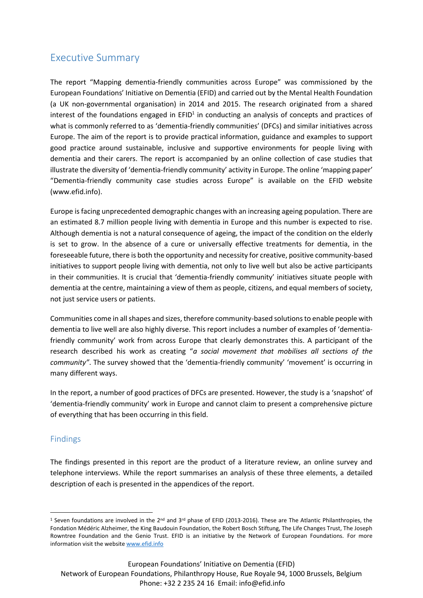# Executive Summary

The report "Mapping dementia-friendly communities across Europe" was commissioned by the European Foundations' Initiative on Dementia (EFID) and carried out by the Mental Health Foundation (a UK non-governmental organisation) in 2014 and 2015. The research originated from a shared interest of the foundations engaged in  $EFD<sup>1</sup>$  in conducting an analysis of concepts and practices of what is commonly referred to as 'dementia-friendly communities' (DFCs) and similar initiatives across Europe. The aim of the report is to provide practical information, guidance and examples to support good practice around sustainable, inclusive and supportive environments for people living with dementia and their carers. The report is accompanied by an online collection of case studies that illustrate the diversity of 'dementia-friendly community' activity in Europe. The online 'mapping paper' "Dementia-friendly community case studies across Europe" is available on the EFID website (www.efid.info).

Europe is facing unprecedented demographic changes with an increasing ageing population. There are an estimated 8.7 million people living with dementia in Europe and this number is expected to rise. Although dementia is not a natural consequence of ageing, the impact of the condition on the elderly is set to grow. In the absence of a cure or universally effective treatments for dementia, in the foreseeable future, there is both the opportunity and necessity for creative, positive community-based initiatives to support people living with dementia, not only to live well but also be active participants in their communities. It is crucial that 'dementia-friendly community' initiatives situate people with dementia at the centre, maintaining a view of them as people, citizens, and equal members of society, not just service users or patients.

Communities come in all shapes and sizes, therefore community-based solutions to enable people with dementia to live well are also highly diverse. This report includes a number of examples of 'dementiafriendly community' work from across Europe that clearly demonstrates this. A participant of the research described his work as creating "*a social movement that mobilises all sections of the community"*. The survey showed that the 'dementia-friendly community' 'movement' is occurring in many different ways.

In the report, a number of good practices of DFCs are presented. However, the study is a 'snapshot' of 'dementia-friendly community' work in Europe and cannot claim to present a comprehensive picture of everything that has been occurring in this field.

# Findings

**.** 

The findings presented in this report are the product of a literature review, an online survey and telephone interviews. While the report summarises an analysis of these three elements, a detailed description of each is presented in the appendices of the report.

<sup>&</sup>lt;sup>1</sup> Seven foundations are involved in the 2<sup>nd</sup> and 3<sup>rd</sup> phase of EFID (2013-2016). These are The Atlantic Philanthropies, the Fondation Médéric Alzheimer, the King Baudouin Foundation, the Robert Bosch Stiftung, The Life Changes Trust, The Joseph Rowntree Foundation and the Genio Trust. EFID is an initiative by the Network of European Foundations. For more information visit the website [www.efid.info](http://www.efid.info/)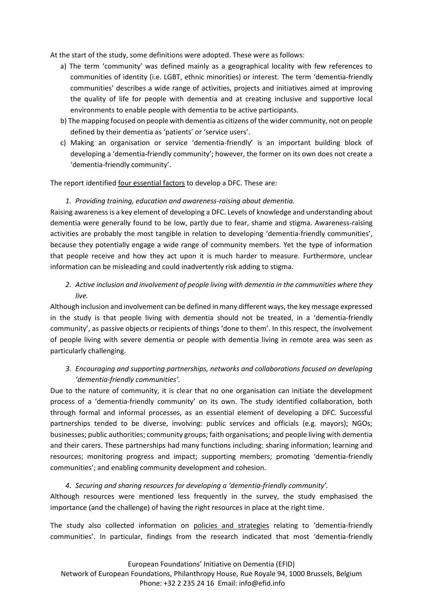At the start of the study, some definitions were adopted. These were as follows:

- a) The term 'community' was defined mainly as a geographical locality with few references to communities of identity (i.e. LGBT, ethnic minorities) or interest. The term 'dementia-friendly communities' describes a wide range of activities, projects and initiatives aimed at improving the quality of life for people with dementia and at creating inclusive and supportive local environments to enable people with dementia to be active participants.
- b) The mapping focused on people with dementia as citizens of the wider community, not on people defined by their dementia as 'patients' or 'service users'.
- c) Making an organisation or service 'dementia-friendly' is an important building block of developing a 'dementia-friendly community'; however, the former on its own does not create a 'dementia-friendly community'.

The report identified four essential factors to develop a DFC. These are:

#### *1. Providing training, education and awareness-raising about dementia.*

Raising awareness is a key element of developing a DFC. Levels of knowledge and understanding about dementia were generally found to be low, partly due to fear, shame and stigma. Awareness-raising activities are probably the most tangible in relation to developing 'dementia-friendly communities', because they potentially engage a wide range of community members. Yet the type of information that people receive and how they act upon it is much harder to measure. Furthermore, unclear information can be misleading and could inadvertently risk adding to stigma.

# *2. Active inclusion and involvement of people living with dementia in the communities where they live.*

Although inclusion and involvement can be defined in many different ways, the key message expressed in the study is that people living with dementia should not be treated, in a 'dementia-friendly community', as passive objects or recipients of things 'done to them'. In this respect, the involvement of people living with severe dementia or people with dementia living in remote area was seen as particularly challenging.

# *3. Encouraging and supporting partnerships, networks and collaborations focused on developing 'dementia-friendly communities'.*

Due to the nature of community, it is clear that no one organisation can initiate the development process of a 'dementia-friendly community' on its own. The study identified collaboration, both through formal and informal processes, as an essential element of developing a DFC. Successful partnerships tended to be diverse, involving: public services and officials (e.g. mayors); NGOs; businesses; public authorities; community groups; faith organisations; and people living with dementia and their carers. These partnerships had many functions including: sharing information; learning and resources; monitoring progress and impact; supporting members; promoting 'dementia-friendly communities'; and enabling community development and cohesion.

#### *4. Securing and sharing resources for developing a 'dementia-friendly community'.*

Although resources were mentioned less frequently in the survey, the study emphasised the importance (and the challenge) of having the right resources in place at the right time.

The study also collected information on policies and strategies relating to 'dementia-friendly communities'. In particular, findings from the research indicated that most 'dementia-friendly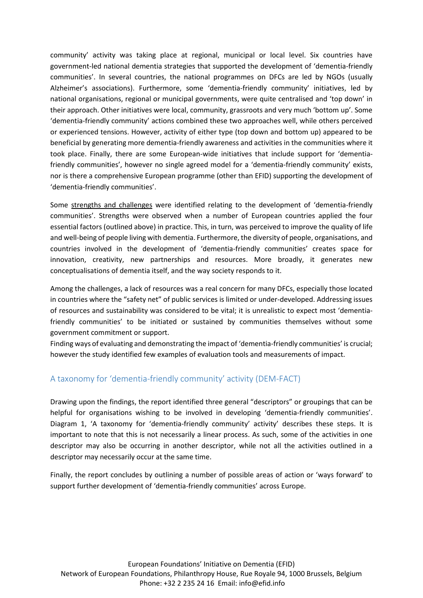community' activity was taking place at regional, municipal or local level. Six countries have government-led national dementia strategies that supported the development of 'dementia-friendly communities'. In several countries, the national programmes on DFCs are led by NGOs (usually Alzheimer's associations). Furthermore, some 'dementia-friendly community' initiatives, led by national organisations, regional or municipal governments, were quite centralised and 'top down' in their approach. Other initiatives were local, community, grassroots and very much 'bottom up'. Some 'dementia-friendly community' actions combined these two approaches well, while others perceived or experienced tensions. However, activity of either type (top down and bottom up) appeared to be beneficial by generating more dementia-friendly awareness and activities in the communities where it took place. Finally, there are some European-wide initiatives that include support for 'dementiafriendly communities', however no single agreed model for a 'dementia-friendly community' exists, nor is there a comprehensive European programme (other than EFID) supporting the development of 'dementia-friendly communities'.

Some strengths and challenges were identified relating to the development of 'dementia-friendly communities'. Strengths were observed when a number of European countries applied the four essential factors (outlined above) in practice. This, in turn, was perceived to improve the quality of life and well-being of people living with dementia. Furthermore, the diversity of people, organisations, and countries involved in the development of 'dementia-friendly communities' creates space for innovation, creativity, new partnerships and resources. More broadly, it generates new conceptualisations of dementia itself, and the way society responds to it.

Among the challenges, a lack of resources was a real concern for many DFCs, especially those located in countries where the "safety net" of public services is limited or under-developed. Addressing issues of resources and sustainability was considered to be vital; it is unrealistic to expect most 'dementiafriendly communities' to be initiated or sustained by communities themselves without some government commitment or support.

Finding ways of evaluating and demonstrating the impact of 'dementia-friendly communities' is crucial; however the study identified few examples of evaluation tools and measurements of impact.

# A taxonomy for 'dementia-friendly community' activity (DEM-FACT)

Drawing upon the findings, the report identified three general "descriptors" or groupings that can be helpful for organisations wishing to be involved in developing 'dementia-friendly communities'. Diagram 1, 'A taxonomy for 'dementia-friendly community' activity' describes these steps. It is important to note that this is not necessarily a linear process. As such, some of the activities in one descriptor may also be occurring in another descriptor, while not all the activities outlined in a descriptor may necessarily occur at the same time.

Finally, the report concludes by outlining a number of possible areas of action or 'ways forward' to support further development of 'dementia-friendly communities' across Europe.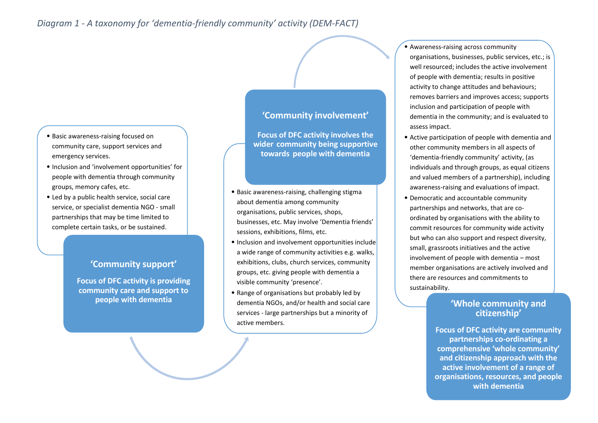- Basic awareness-raising focused on community care, support services and emergency services.
- Inclusion and 'involvement opportunities' for people with dementia through community groups, memory cafes, etc.
- Led by a public health service, social care service, or specialist dementia NGO - small partnerships that may be time limited to complete certain tasks, or be sustained.

# **'Community support'**

**Focus of DFC activity is providing community care and support to people with dementia**

# **'Community involvement'**

**Focus of DFC activity involves the wider community being supportive towards people with dementia**

- Basic awareness-raising, challenging stigma about dementia among community organisations, public services, shops, businesses, etc. May involve 'Dementia friends' sessions, exhibitions, films, etc.
- Inclusion and involvement opportunities include a wide range of community activities e.g. walks, exhibitions, clubs, church services, community groups, etc. giving people with dementia a visible community 'presence'.
- Range of organisations but probably led by dementia NGOs, and/or health and social care services - large partnerships but a minority of active members.

• Awareness-raising across community organisations, businesses, public services, etc.; is well resourced; includes the active involvement of people with dementia; results in positive activity to change attitudes and behaviours; removes barriers and improves access; supports inclusion and participation of people with dementia in the community; and is evaluated to assess impact.

- Active participation of people with dementia and other community members in all aspects of 'dementia-friendly community' activity, (as individuals and through groups, as equal citizens and valued members of a partnership), including awareness-raising and evaluations of impact.
- Democratic and accountable community partnerships and networks, that are coordinated by organisations with the ability to commit resources for community wide activity but who can also support and respect diversity, small, grassroots initiatives and the active involvement of people with dementia – most member organisations are actively involved and there are resources and commitments to sustainability.

# **'Whole community and citizenship'**

**Focus of DFC activity are community partnerships co-ordinating a comprehensive 'whole community' and citizenship approach with the active involvement of a range of organisations, resources, and people with dementia**